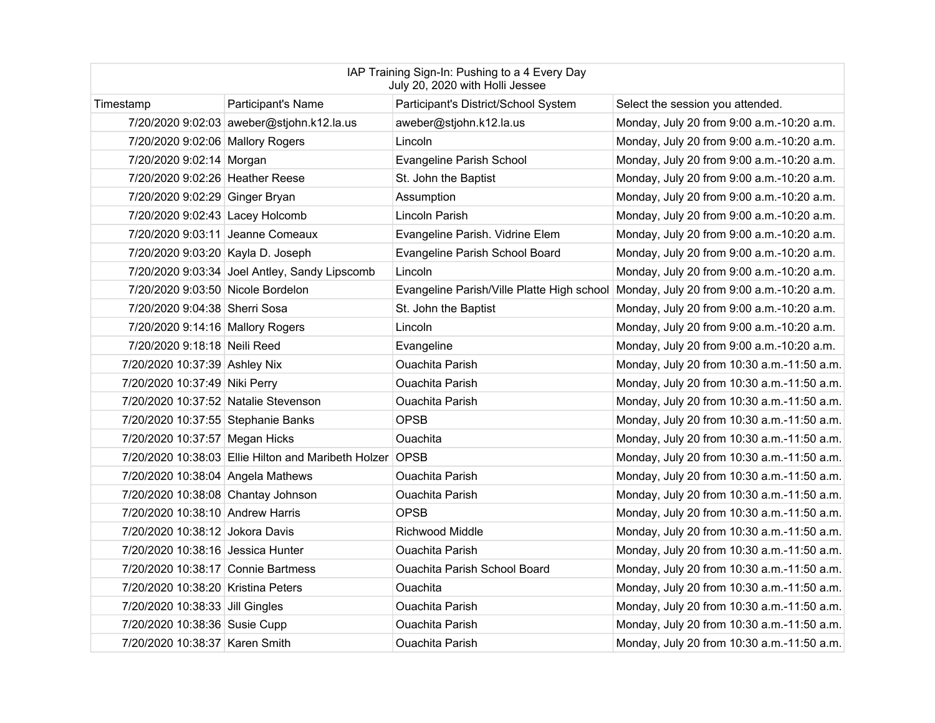| IAP Training Sign-In: Pushing to a 4 Every Day<br>July 20, 2020 with Holli Jessee |                                                          |                                      |                                                                                      |  |
|-----------------------------------------------------------------------------------|----------------------------------------------------------|--------------------------------------|--------------------------------------------------------------------------------------|--|
| Timestamp                                                                         | <b>Participant's Name</b>                                | Participant's District/School System | Select the session you attended.                                                     |  |
|                                                                                   | 7/20/2020 9:02:03 aweber@stjohn.k12.la.us                | aweber@stjohn.k12.la.us              | Monday, July 20 from 9:00 a.m.-10:20 a.m.                                            |  |
| 7/20/2020 9:02:06 Mallory Rogers                                                  |                                                          | Lincoln                              | Monday, July 20 from 9:00 a.m.-10:20 a.m.                                            |  |
| 7/20/2020 9:02:14 Morgan                                                          |                                                          | Evangeline Parish School             | Monday, July 20 from 9:00 a.m.-10:20 a.m.                                            |  |
| 7/20/2020 9:02:26 Heather Reese                                                   |                                                          | St. John the Baptist                 | Monday, July 20 from 9:00 a.m.-10:20 a.m.                                            |  |
| 7/20/2020 9:02:29 Ginger Bryan                                                    |                                                          | Assumption                           | Monday, July 20 from 9:00 a.m.-10:20 a.m.                                            |  |
| 7/20/2020 9:02:43 Lacey Holcomb                                                   |                                                          | Lincoln Parish                       | Monday, July 20 from 9:00 a.m.-10:20 a.m.                                            |  |
|                                                                                   | 7/20/2020 9:03:11 Jeanne Comeaux                         | Evangeline Parish. Vidrine Elem      | Monday, July 20 from 9:00 a.m.-10:20 a.m.                                            |  |
| 7/20/2020 9:03:20 Kayla D. Joseph                                                 |                                                          | Evangeline Parish School Board       | Monday, July 20 from 9:00 a.m.-10:20 a.m.                                            |  |
|                                                                                   | 7/20/2020 9:03:34 Joel Antley, Sandy Lipscomb            | Lincoln                              | Monday, July 20 from 9:00 a.m.-10:20 a.m.                                            |  |
| 7/20/2020 9:03:50 Nicole Bordelon                                                 |                                                          |                                      | Evangeline Parish/Ville Platte High school Monday, July 20 from 9:00 a.m.-10:20 a.m. |  |
| 7/20/2020 9:04:38 Sherri Sosa                                                     |                                                          | St. John the Baptist                 | Monday, July 20 from 9:00 a.m.-10:20 a.m.                                            |  |
| 7/20/2020 9:14:16 Mallory Rogers                                                  |                                                          | Lincoln                              | Monday, July 20 from 9:00 a.m.-10:20 a.m.                                            |  |
| 7/20/2020 9:18:18 Neili Reed                                                      |                                                          | Evangeline                           | Monday, July 20 from 9:00 a.m.-10:20 a.m.                                            |  |
| 7/20/2020 10:37:39 Ashley Nix                                                     |                                                          | <b>Ouachita Parish</b>               | Monday, July 20 from 10:30 a.m.-11:50 a.m.                                           |  |
| 7/20/2020 10:37:49 Niki Perry                                                     |                                                          | <b>Ouachita Parish</b>               | Monday, July 20 from 10:30 a.m.-11:50 a.m.                                           |  |
| 7/20/2020 10:37:52 Natalie Stevenson                                              |                                                          | <b>Ouachita Parish</b>               | Monday, July 20 from 10:30 a.m.-11:50 a.m.                                           |  |
| 7/20/2020 10:37:55 Stephanie Banks                                                |                                                          | <b>OPSB</b>                          | Monday, July 20 from 10:30 a.m.-11:50 a.m.                                           |  |
| 7/20/2020 10:37:57 Megan Hicks                                                    |                                                          | <b>Ouachita</b>                      | Monday, July 20 from 10:30 a.m.-11:50 a.m.                                           |  |
|                                                                                   | 7/20/2020 10:38:03 Ellie Hilton and Maribeth Holzer OPSB |                                      | Monday, July 20 from 10:30 a.m.-11:50 a.m.                                           |  |
| 7/20/2020 10:38:04 Angela Mathews                                                 |                                                          | <b>Ouachita Parish</b>               | Monday, July 20 from 10:30 a.m.-11:50 a.m.                                           |  |
| 7/20/2020 10:38:08 Chantay Johnson                                                |                                                          | <b>Ouachita Parish</b>               | Monday, July 20 from 10:30 a.m.-11:50 a.m.                                           |  |
| 7/20/2020 10:38:10 Andrew Harris                                                  |                                                          | <b>OPSB</b>                          | Monday, July 20 from 10:30 a.m.-11:50 a.m.                                           |  |
| 7/20/2020 10:38:12 Jokora Davis                                                   |                                                          | <b>Richwood Middle</b>               | Monday, July 20 from 10:30 a.m.-11:50 a.m.                                           |  |
| 7/20/2020 10:38:16 Jessica Hunter                                                 |                                                          | <b>Ouachita Parish</b>               | Monday, July 20 from 10:30 a.m.-11:50 a.m.                                           |  |
| 7/20/2020 10:38:17 Connie Bartmess                                                |                                                          | <b>Ouachita Parish School Board</b>  | Monday, July 20 from 10:30 a.m.-11:50 a.m.                                           |  |
| 7/20/2020 10:38:20 Kristina Peters                                                |                                                          | Ouachita                             | Monday, July 20 from 10:30 a.m.-11:50 a.m.                                           |  |
| 7/20/2020 10:38:33 Jill Gingles                                                   |                                                          | <b>Ouachita Parish</b>               | Monday, July 20 from 10:30 a.m.-11:50 a.m.                                           |  |
| 7/20/2020 10:38:36 Susie Cupp                                                     |                                                          | <b>Ouachita Parish</b>               | Monday, July 20 from 10:30 a.m.-11:50 a.m.                                           |  |
| 7/20/2020 10:38:37 Karen Smith                                                    |                                                          | <b>Ouachita Parish</b>               | Monday, July 20 from 10:30 a.m.-11:50 a.m.                                           |  |